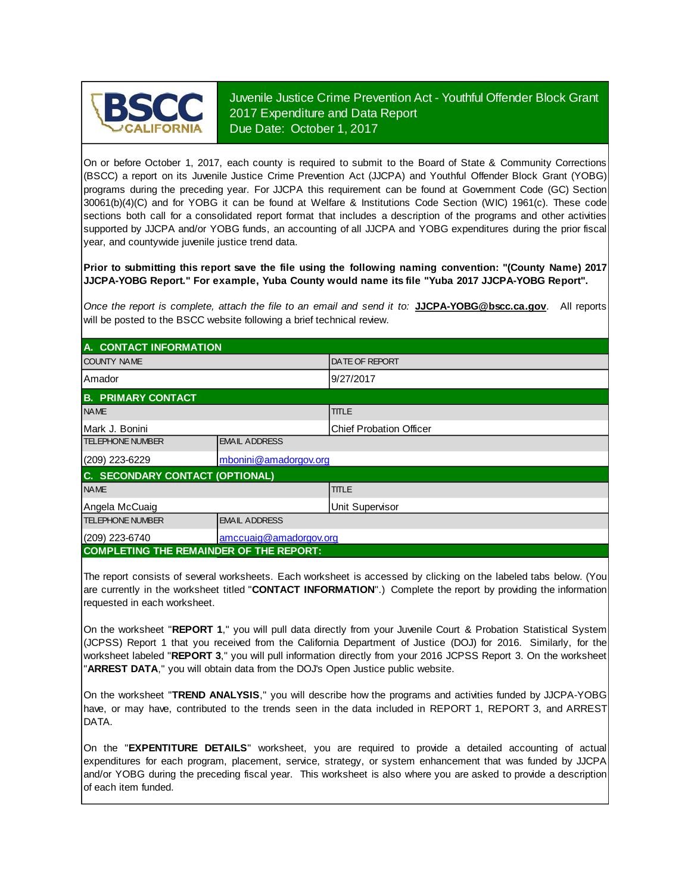

Juvenile Justice Crime Prevention Act - Youthful Offender Block Grant 2017 Expenditure and Data Report Due Date: October 1, 2017

On or before October 1, 2017, each county is required to submit to the Board of State & Community Corrections (BSCC) <sup>a</sup> report on its Juvenile Justice Crime Prevention Act (JJCPA) and Youthful Offender Block Grant (YOBG) programs during the preceding year. For JJCPA this requirement can be found at Government Code (GC) Section 30061(b)(4)(C) and for YOBG it can be found at Welfare & Institutions Code Section (WIC) 1961(c). These code sections both call for <sup>a</sup> consolidated report format that includes <sup>a</sup> description of the programs and other activities supported by JJCPA and/or YOBG funds, an accounting of all JJCPA and YOBG expenditures during the prior fiscal year, and countywide juvenile justice trend data.

**Prior to submitting this report save the file using the following naming convention: "(County Name) 2017 JJCPA-YOBG Report." For example, Yuba County would name its file "Yuba 2017 JJCPA-YOBG Report".**

*Once the report is complete, attach the file t o an email and send it to:* **JJCPA-YOBG@bscc.ca.gov**. All reports will be posted to the BSCC website following a brief technical review.

| A. CONTACT INFORMATION                         |                        |                                |  |
|------------------------------------------------|------------------------|--------------------------------|--|
| <b>COUNTY NAME</b>                             |                        | <b>DATE OF REPORT</b>          |  |
| <b>Amador</b>                                  |                        | 9/27/2017                      |  |
| <b>B. PRIMARY CONTACT</b>                      |                        |                                |  |
| <b>NAME</b>                                    |                        | <b>TITLE</b>                   |  |
| Mark J. Bonini                                 |                        | <b>Chief Probation Officer</b> |  |
| <b>TELEPHONE NUMBER</b>                        | <b>EMAIL ADDRESS</b>   |                                |  |
| (209) 223-6229                                 | mbonini@amadorgov.org  |                                |  |
| C. SECONDARY CONTACT (OPTIONAL)                |                        |                                |  |
| <b>NAME</b>                                    |                        | <b>TITLE</b>                   |  |
| Angela McCuaig                                 |                        | <b>Unit Supervisor</b>         |  |
| <b>TELEPHONE NUMBER</b>                        | <b>EMAIL ADDRESS</b>   |                                |  |
| $(209)$ 223-6740                               | amccuaig@amadorgov.org |                                |  |
| <b>COMPLETING THE REMAINDER OF THE REPORT:</b> |                        |                                |  |

The report consists of several worksheets. Each worksheet is accessed by clicking on the labeled tabs below. (You are currently in the worksheet titled "**CONTACT INFORMATION**".) Complete the report by providing the information requested in each worksheet.

On the worksheet "REPORT 1," you will pull data directly from your Juvenile Court & Probation Statistical System (JCPSS) Report 1 that you received from the California Department of Justice (DOJ) for 2016. Similarly, for the worksheet labeled "REPORT 3," you will pull information directly from your 2016 JCPSS Report 3. On the worksheet "**ARREST DATA**," you will obtain data from the DOJ's Open Justice public website.

On the worksheet "**TREND ANALYSIS**, " you will describe how the programs and activities funded by JJCPA-YOBG have, or may have, contributed to the trends seen in the data included in REPORT 1, REPORT 3, and ARREST DATA.

On the "EXPENTITURE DETAILS" worksheet, you are required to provide a detailed accounting of actual expenditures for each program, placement, service, strategy, or system enhancement that was funded by JJCPA and/or YOBG during the preceding fiscal year. This worksheet is also where you are asked to provide a description of each item funded.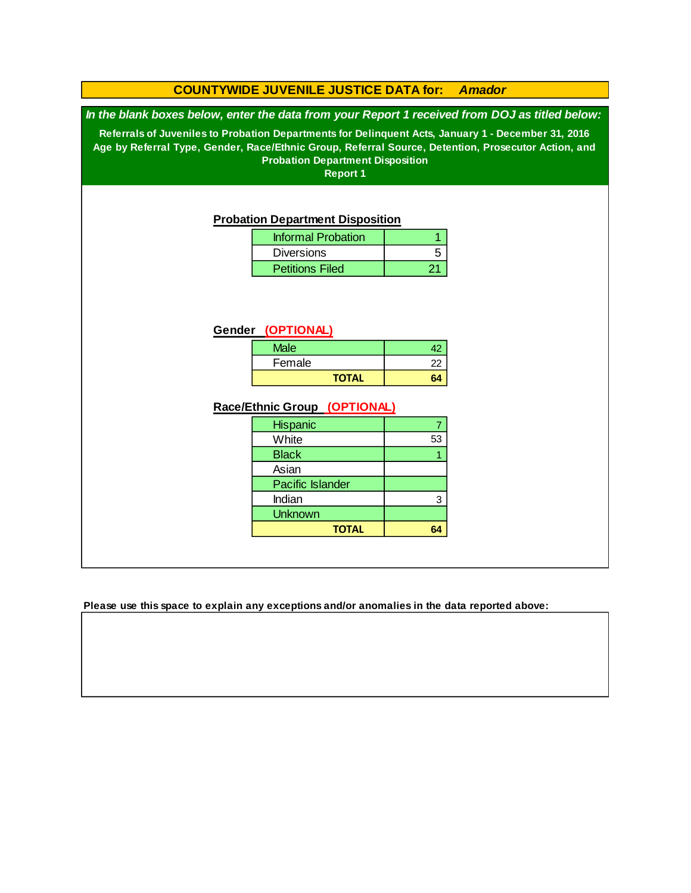#### **COUNTYWIDE JUVENILE JUSTICE DATA for:** *Amador*

*In the blank boxes below, enter the data from your Report 1 received from DOJ as titled below:*

**Referrals of Juveniles to Probation Departments for Delinquent Acts, January 1 - December 31, 2016 Age by Referral Type, Gender, Race/Ethnic Group, Referral Source, Detention, Prosecutor Action, and Probation Department Disposition**

**Report 1**

#### **Probation Department Disposition**

| <b>Informal Probation</b> |  |
|---------------------------|--|
| <b>Diversions</b>         |  |
| <b>Petitions Filed</b>    |  |

#### **Gender (OPTIONAL)**

| <b>Male</b> |              |    |
|-------------|--------------|----|
| Female      |              | כי |
|             | <b>TOTAL</b> |    |

#### **Race/Ethnic Group (OPTIONAL)**

| <b>Hispanic</b>         |    |
|-------------------------|----|
| White                   | 53 |
| <b>Black</b>            |    |
| Asian                   |    |
| <b>Pacific Islander</b> |    |
| Indian                  | з  |
| <b>Unknown</b>          |    |
| <b>TOTAL</b>            |    |

**Please use this space to explain any exceptions and/or anomalies in the data reported above:**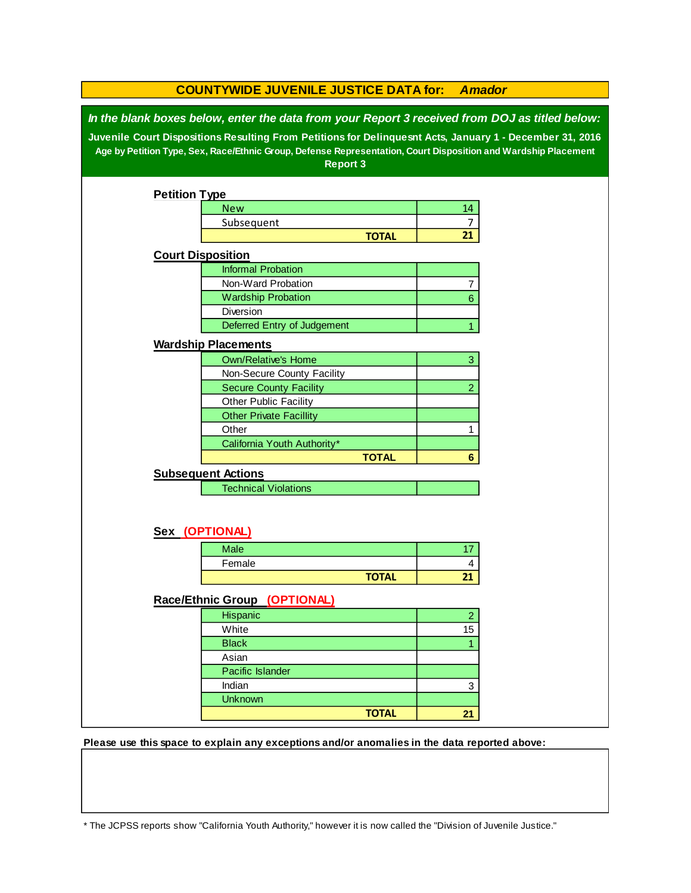| <b>COUNTYWIDE JUVENILE JUSTICE DATA for:</b><br><b>Amador</b>                                                                                                                                                                                                                                                                            |                                |              |                |  |
|------------------------------------------------------------------------------------------------------------------------------------------------------------------------------------------------------------------------------------------------------------------------------------------------------------------------------------------|--------------------------------|--------------|----------------|--|
| In the blank boxes below, enter the data from your Report 3 received from DOJ as titled below:<br>Juvenile Court Dispositions Resulting From Petitions for Delinquesnt Acts, January 1 - December 31, 2016<br>Age by Petition Type, Sex, Race/Ethnic Group, Defense Representation, Court Disposition and Wardship Placement<br>Report 3 |                                |              |                |  |
| <b>Petition Type</b>                                                                                                                                                                                                                                                                                                                     |                                |              |                |  |
|                                                                                                                                                                                                                                                                                                                                          | <b>New</b>                     |              | 14             |  |
|                                                                                                                                                                                                                                                                                                                                          | Subsequent                     |              | $\overline{7}$ |  |
|                                                                                                                                                                                                                                                                                                                                          |                                | <b>TOTAL</b> | 21             |  |
| <b>Court Disposition</b>                                                                                                                                                                                                                                                                                                                 |                                |              |                |  |
|                                                                                                                                                                                                                                                                                                                                          | <b>Informal Probation</b>      |              |                |  |
|                                                                                                                                                                                                                                                                                                                                          | Non-Ward Probation             |              | 7              |  |
|                                                                                                                                                                                                                                                                                                                                          | <b>Wardship Probation</b>      |              | $6\phantom{a}$ |  |
|                                                                                                                                                                                                                                                                                                                                          | Diversion                      |              |                |  |
|                                                                                                                                                                                                                                                                                                                                          | Deferred Entry of Judgement    |              | 1              |  |
|                                                                                                                                                                                                                                                                                                                                          | <b>Wardship Placements</b>     |              |                |  |
|                                                                                                                                                                                                                                                                                                                                          | <b>Own/Relative's Home</b>     |              | 3              |  |
|                                                                                                                                                                                                                                                                                                                                          | Non-Secure County Facility     |              |                |  |
|                                                                                                                                                                                                                                                                                                                                          | <b>Secure County Facility</b>  |              | $\overline{2}$ |  |
|                                                                                                                                                                                                                                                                                                                                          | Other Public Facility          |              |                |  |
|                                                                                                                                                                                                                                                                                                                                          | <b>Other Private Facillity</b> |              |                |  |
|                                                                                                                                                                                                                                                                                                                                          | Other                          |              | 1              |  |
|                                                                                                                                                                                                                                                                                                                                          | California Youth Authority*    |              |                |  |
|                                                                                                                                                                                                                                                                                                                                          |                                | <b>TOTAL</b> | 6              |  |
|                                                                                                                                                                                                                                                                                                                                          | <b>Subsequent Actions</b>      |              |                |  |
|                                                                                                                                                                                                                                                                                                                                          | <b>Technical Violations</b>    |              |                |  |
|                                                                                                                                                                                                                                                                                                                                          |                                |              |                |  |
|                                                                                                                                                                                                                                                                                                                                          | Sex (OPTIONAL)                 |              |                |  |
|                                                                                                                                                                                                                                                                                                                                          | <b>Male</b>                    |              | 17             |  |
|                                                                                                                                                                                                                                                                                                                                          | Female                         |              | 4              |  |
|                                                                                                                                                                                                                                                                                                                                          |                                | <b>TOTAL</b> | 21             |  |
|                                                                                                                                                                                                                                                                                                                                          | Race/Ethnic Group (OPTIONAL)   |              |                |  |
|                                                                                                                                                                                                                                                                                                                                          | Hispanic                       |              | $\overline{a}$ |  |
|                                                                                                                                                                                                                                                                                                                                          | White                          |              | 15             |  |
|                                                                                                                                                                                                                                                                                                                                          | <b>Black</b>                   |              | 1              |  |
|                                                                                                                                                                                                                                                                                                                                          | Asian                          |              |                |  |
|                                                                                                                                                                                                                                                                                                                                          | Pacific Islander               |              |                |  |
|                                                                                                                                                                                                                                                                                                                                          | Indian                         |              | 3              |  |
|                                                                                                                                                                                                                                                                                                                                          | <b>Unknown</b>                 |              |                |  |
|                                                                                                                                                                                                                                                                                                                                          |                                | <b>TOTAL</b> | 21             |  |

**Please use this space to explain any exceptions and/or anomalies in the data reported above:** 

\* The JCPSS reports show "California Youth Authority," however it is now called the "Division of Juvenile Justice."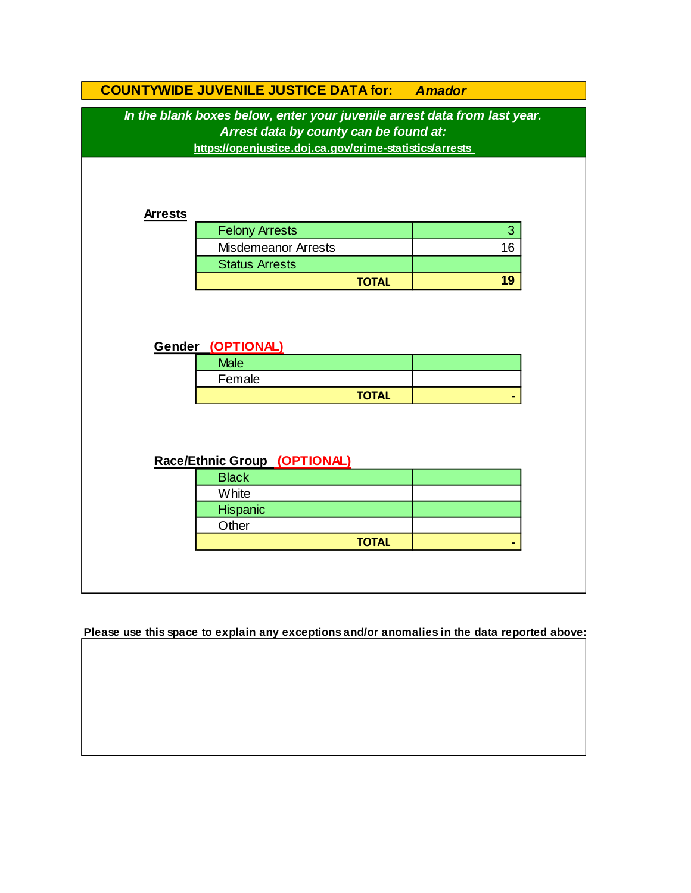|                | <b>COUNTYWIDE JUVENILE JUSTICE DATA for:</b>                                                                                                                                   | <b>Amador</b> |  |
|----------------|--------------------------------------------------------------------------------------------------------------------------------------------------------------------------------|---------------|--|
|                | In the blank boxes below, enter your juvenile arrest data from last year.<br>Arrest data by county can be found at:<br>https://openjustice.doj.ca.gov/crime-statistics/arrests |               |  |
| <b>Arrests</b> |                                                                                                                                                                                |               |  |
|                | <b>Felony Arrests</b>                                                                                                                                                          | 3             |  |
|                | <b>Misdemeanor Arrests</b>                                                                                                                                                     | 16            |  |
|                | <b>Status Arrests</b>                                                                                                                                                          |               |  |
|                | <b>TOTAL</b>                                                                                                                                                                   | 19            |  |
|                | Gender (OPTIONAL)<br><b>Male</b><br>Female                                                                                                                                     |               |  |
|                | <b>TOTAL</b>                                                                                                                                                                   |               |  |
|                | Race/Ethnic Group (OPTIONAL)                                                                                                                                                   |               |  |
|                | <b>Black</b>                                                                                                                                                                   |               |  |
|                | White                                                                                                                                                                          |               |  |
|                | Hispanic<br>Other                                                                                                                                                              |               |  |
|                | <b>TOTAL</b>                                                                                                                                                                   |               |  |
|                |                                                                                                                                                                                |               |  |
|                |                                                                                                                                                                                |               |  |

**Please use this space to explain any exceptions and/or anomalies in the data reported above:**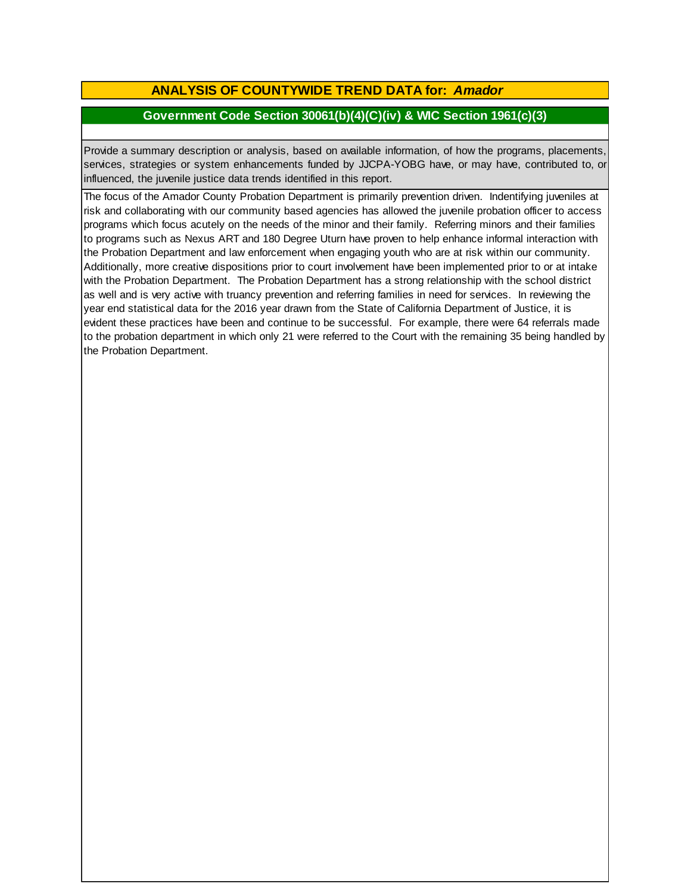## **ANALYSIS OF COUNTYWIDE TREND DATA for:** *Amador*

### **Government Code Section 30061(b)(4)(C)(iv) & WIC Section 1961(c)(3)**

Provide <sup>a</sup> summary description or analysis, based on available information, of how the programs, placements, services, strategies or system enhancements funded by JJCPA-YOBG have, or may have, contributed to, or influenced, the juvenile justice data trends identified in this report.

The focus of the Amador County Probation Department is primarily prevention driven. Indentifying juveniles at risk and collaborating with our community based agencies has allowed the juvenile probation officer to access programs which focus acutely on the needs of the minor and their family. Referring minors and their families to programs such as Nexus ART and 180 Degree Uturn have proven to help enhance informal interaction with the Probation Department and law enforcement when engaging youth who are at risk within our community. Additionally, more creative dispositions prior to court involvement have been implemented prior to or at intake with the Probation Department. The Probation Department has a strong relationship with the school district as well and is very active with truancy prevention and referring families in need for services. In reviewing the year end statistical data for the 2016 year drawn from the State of California Department of Justice, it is evident these practices have been and continue to be successful. For example, there were 64 referrals made to the probation department in which only 21 were referred to the Court with the remaining 35 being handled by the Probation Department.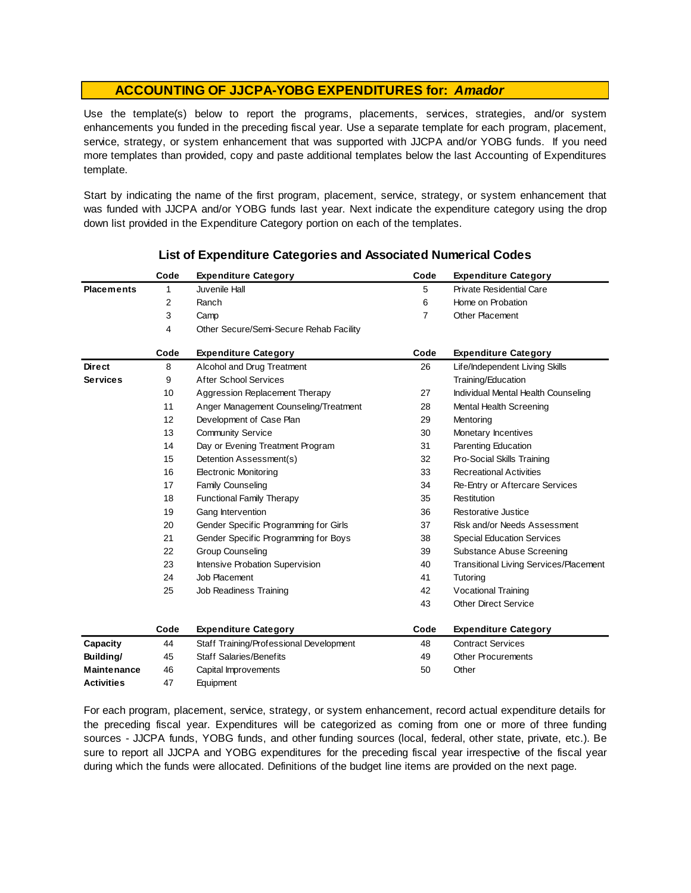Use the template(s) below to report the programs, placements, services, strategies, and/or system enhancements you funded in the preceding fiscal year. Use <sup>a</sup> separate template for each program, placement, service, strategy, or system enhancement that was supported with JJCPA and/or YOBG funds. If you need more templates than provided, copy and paste additional templates below the last Accounting of Expenditures template.

Start by indicating the name of the first program, placement, service, strategy, or system enhancement that was funded with JJCPA and/or YOBG funds last year. Next indicate the expenditure category using the drop down list provided in the Expenditure Category portion on each of the templates.

|                    | Code | <b>Expenditure Category</b>             | Code           | <b>Expenditure Category</b>                   |
|--------------------|------|-----------------------------------------|----------------|-----------------------------------------------|
| <b>Placements</b>  | 1    | Juvenile Hall                           | 5              | <b>Private Residential Care</b>               |
|                    | 2    | Ranch                                   | 6              | Home on Probation                             |
|                    | 3    | Camp                                    | $\overline{7}$ | Other Placement                               |
|                    | 4    | Other Secure/Semi-Secure Rehab Facility |                |                                               |
|                    | Code | <b>Expenditure Category</b>             | Code           | <b>Expenditure Category</b>                   |
| <b>Direct</b>      | 8    | Alcohol and Drug Treatment              | 26             | Life/Independent Living Skills                |
| <b>Services</b>    | 9    | <b>After School Services</b>            |                | Training/Education                            |
|                    | 10   | Aggression Replacement Therapy          | 27             | Individual Mental Health Counseling           |
|                    | 11   | Anger Management Counseling/Treatment   | 28             | Mental Health Screening                       |
|                    | 12   | Development of Case Plan                | 29             | Mentoring                                     |
|                    | 13   | <b>Community Service</b>                | 30             | Monetary Incentives                           |
|                    | 14   | Day or Evening Treatment Program        | 31             | Parenting Education                           |
|                    | 15   | Detention Assessment(s)                 | 32             | Pro-Social Skills Training                    |
|                    | 16   | <b>Electronic Monitoring</b>            | 33             | <b>Recreational Activities</b>                |
|                    | 17   | <b>Family Counseling</b>                | 34             | Re-Entry or Aftercare Services                |
|                    | 18   | <b>Functional Family Therapy</b>        | 35             | Restitution                                   |
|                    | 19   | Gang Intervention                       | 36             | Restorative Justice                           |
|                    | 20   | Gender Specific Programming for Girls   | 37             | Risk and/or Needs Assessment                  |
|                    | 21   | Gender Specific Programming for Boys    | 38             | <b>Special Education Services</b>             |
|                    | 22   | <b>Group Counseling</b>                 | 39             | Substance Abuse Screening                     |
|                    | 23   | Intensive Probation Supervision         | 40             | <b>Transitional Living Services/Placement</b> |
|                    | 24   | Job Placement                           | 41             | Tutoring                                      |
|                    | 25   | Job Readiness Training                  | 42             | Vocational Training                           |
|                    |      |                                         | 43             | <b>Other Direct Service</b>                   |
|                    | Code | <b>Expenditure Category</b>             | Code           | <b>Expenditure Category</b>                   |
| Capacity           | 44   | Staff Training/Professional Development | 48             | <b>Contract Services</b>                      |
| Building/          | 45   | <b>Staff Salaries/Benefits</b>          | 49             | <b>Other Procurements</b>                     |
| <b>Maintenance</b> | 46   | Capital Improvements                    | 50             | Other                                         |
| <b>Activities</b>  | 47   | Equipment                               |                |                                               |

#### **List of Expenditure Categories and Associated Numerical Codes**

For each program, placement, service, strategy, or system enhancement, record actual expenditure details for the preceding fiscal year. Expenditures will be categorized as coming from one or more of three funding sources - JJCPA funds, YOBG funds, and other funding sources (local, federal, other state, private, etc.). Be sure to report all JJCPA and YOBG expenditures for the preceding fiscal year irrespective of the fiscal year during which the funds were allocated. Definitions of the budget line items are provided on the next page.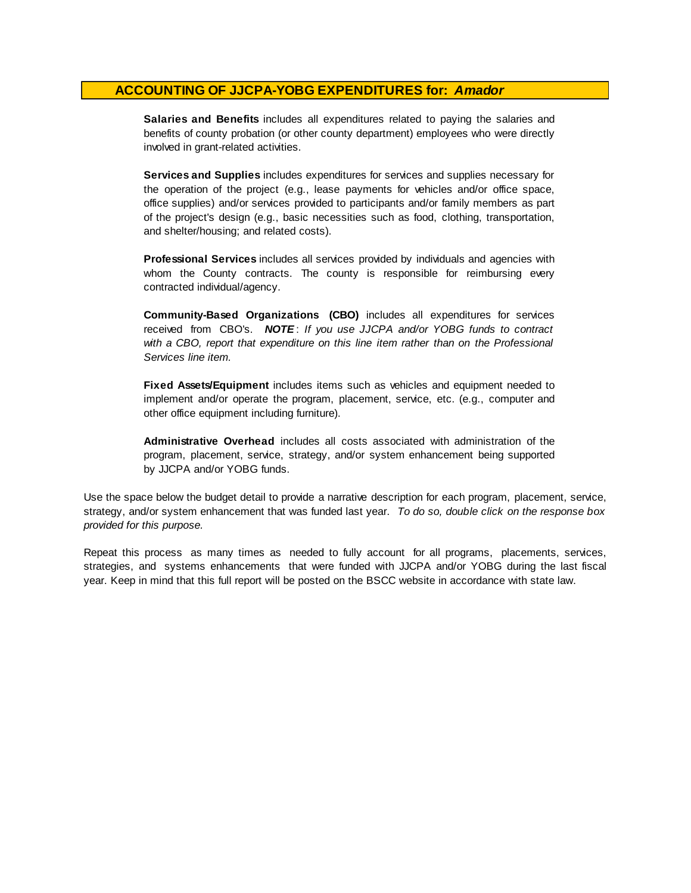**Salaries and Benefits** includes all expenditures related to paying the salaries and benefits of county probation (or other county department) employees who were directly involved in grant-related activities.

**Services and Supplies** includes expenditures for services and supplies necessary for the operation of the project (e.g., lease payments for vehicles and/or office space, office supplies) and/or services provided to participants and/or family members as part of the project's design (e.g., basic necessities such as food, clothing, transportation, and shelter/housing; and related costs).

**Professional Services** includes all services provided by individuals and agencies with whom the County contracts. The county is responsible for reimbursing every contracted individual/agency.

**Community-Based Organizations (CBO)** includes all expenditures for services received from CBO's. *NOTE* : *I f you use JJCPA and/or YOBG funds t o contract with <sup>a</sup> CBO, report that expenditure on this line item rather than on the Professional Services line item.*

**Fixed Assets/Equipment** includes items such as vehicles and equipment needed to implement and/or operate the program, placement, service, etc. (e.g., computer and other office equipment including furniture).

**Administrative Overhead** includes all costs associated with administration of the program, placement, service, strategy, and/or system enhancement being supported by JJCPA and/or YOBG funds.

Use the space below the budget detail to provide a narrative description for each program, placement, service, strategy, and/or system enhancement that was funded last year. *To do so, double click on the response box provided for this purpose.* 

Repeat this process as many times as needed to fully account for all programs, placements, services, strategies, and systems enhancements that were funded with JJCPA and/or YOBG during the last fiscal year. Keep in mind that this full report will be posted on the BSCC website in accordance with state law.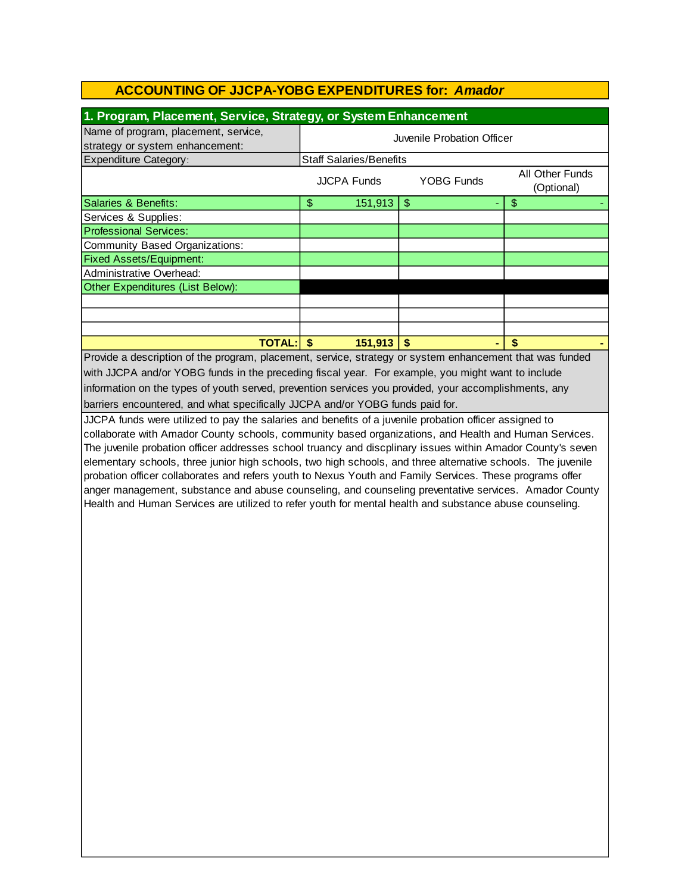| 1. Program, Placement, Service, Strategy, or System Enhancement                                              |                                                                          |              |               |    |
|--------------------------------------------------------------------------------------------------------------|--------------------------------------------------------------------------|--------------|---------------|----|
| Name of program, placement, service,                                                                         |                                                                          |              |               |    |
| strategy or system enhancement:                                                                              | Juvenile Probation Officer                                               |              |               |    |
| <b>Expenditure Category:</b>                                                                                 | <b>Staff Salaries/Benefits</b>                                           |              |               |    |
|                                                                                                              | All Other Funds<br><b>YOBG Funds</b><br><b>JJCPA Funds</b><br>(Optional) |              |               |    |
| Salaries & Benefits:                                                                                         | $\frac{1}{2}$                                                            | 151,913      | $\frac{1}{2}$ | \$ |
| Services & Supplies:                                                                                         |                                                                          |              |               |    |
| <b>Professional Services:</b>                                                                                |                                                                          |              |               |    |
| <b>Community Based Organizations:</b>                                                                        |                                                                          |              |               |    |
| <b>Fixed Assets/Equipment:</b>                                                                               |                                                                          |              |               |    |
| Administrative Overhead:                                                                                     |                                                                          |              |               |    |
| Other Expenditures (List Below):                                                                             |                                                                          |              |               |    |
|                                                                                                              |                                                                          |              |               |    |
|                                                                                                              |                                                                          |              |               |    |
|                                                                                                              |                                                                          |              |               |    |
| <b>TOTAL:</b>                                                                                                | $\sqrt{3}$                                                               | $151,913$ \$ |               | \$ |
| Provide a description of the program, placement, service, strategy or system enhancement that was funded     |                                                                          |              |               |    |
| with JJCPA and/or YOBG funds in the preceding fiscal year. For example, you might want to include            |                                                                          |              |               |    |
| information on the types of youth served, prevention services you provided, your accomplishments, any        |                                                                          |              |               |    |
| barriers encountered, and what specifically JJCPA and/or YOBG funds paid for.                                |                                                                          |              |               |    |
| JJCPA funds were utilized to pay the salaries and benefits of a juvenile probation officer assigned to       |                                                                          |              |               |    |
| collaborate with Amador County schools, community based organizations, and Health and Human Services.        |                                                                          |              |               |    |
| The juvenile probation officer addresses school truancy and discplinary issues within Amador County's seven  |                                                                          |              |               |    |
| elementary schools, three junior high schools, two high schools, and three alternative schools. The juvenile |                                                                          |              |               |    |
| probation officer collaborates and refers youth to Nexus Youth and Family Services. These programs offer     |                                                                          |              |               |    |
| anger management, substance and abuse counseling, and counseling preventative services. Amador County        |                                                                          |              |               |    |
| Health and Human Services are utilized to refer youth for mental health and substance abuse counseling.      |                                                                          |              |               |    |
|                                                                                                              |                                                                          |              |               |    |
|                                                                                                              |                                                                          |              |               |    |
|                                                                                                              |                                                                          |              |               |    |
|                                                                                                              |                                                                          |              |               |    |
|                                                                                                              |                                                                          |              |               |    |
|                                                                                                              |                                                                          |              |               |    |
|                                                                                                              |                                                                          |              |               |    |
|                                                                                                              |                                                                          |              |               |    |
|                                                                                                              |                                                                          |              |               |    |
|                                                                                                              |                                                                          |              |               |    |
|                                                                                                              |                                                                          |              |               |    |
|                                                                                                              |                                                                          |              |               |    |
|                                                                                                              |                                                                          |              |               |    |
|                                                                                                              |                                                                          |              |               |    |
|                                                                                                              |                                                                          |              |               |    |
|                                                                                                              |                                                                          |              |               |    |
|                                                                                                              |                                                                          |              |               |    |
|                                                                                                              |                                                                          |              |               |    |
|                                                                                                              |                                                                          |              |               |    |
|                                                                                                              |                                                                          |              |               |    |
|                                                                                                              |                                                                          |              |               |    |
|                                                                                                              |                                                                          |              |               |    |
|                                                                                                              |                                                                          |              |               |    |
|                                                                                                              |                                                                          |              |               |    |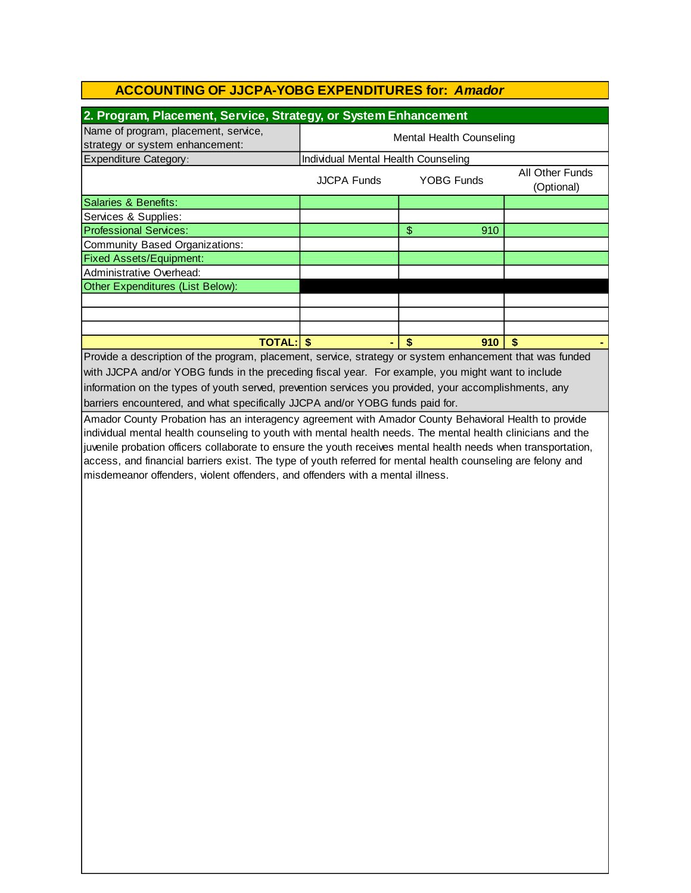| Name of program, placement, service,<br>strategy or system enhancement:<br><b>Expenditure Category:</b>                                                                                                                                                                                                                                                                                                                        |                                     | 2. Program, Placement, Service, Strategy, or System Enhancement |                               |  |  |  |
|--------------------------------------------------------------------------------------------------------------------------------------------------------------------------------------------------------------------------------------------------------------------------------------------------------------------------------------------------------------------------------------------------------------------------------|-------------------------------------|-----------------------------------------------------------------|-------------------------------|--|--|--|
|                                                                                                                                                                                                                                                                                                                                                                                                                                | <b>Mental Health Counseling</b>     |                                                                 |                               |  |  |  |
|                                                                                                                                                                                                                                                                                                                                                                                                                                | Individual Mental Health Counseling |                                                                 |                               |  |  |  |
|                                                                                                                                                                                                                                                                                                                                                                                                                                | <b>JJCPA Funds</b>                  | <b>YOBG Funds</b>                                               | All Other Funds<br>(Optional) |  |  |  |
| Salaries & Benefits:                                                                                                                                                                                                                                                                                                                                                                                                           |                                     |                                                                 |                               |  |  |  |
| Services & Supplies:                                                                                                                                                                                                                                                                                                                                                                                                           |                                     |                                                                 |                               |  |  |  |
| <b>Professional Services:</b>                                                                                                                                                                                                                                                                                                                                                                                                  |                                     | \$<br>910                                                       |                               |  |  |  |
| <b>Community Based Organizations:</b>                                                                                                                                                                                                                                                                                                                                                                                          |                                     |                                                                 |                               |  |  |  |
| <b>Fixed Assets/Equipment:</b>                                                                                                                                                                                                                                                                                                                                                                                                 |                                     |                                                                 |                               |  |  |  |
| Administrative Overhead:                                                                                                                                                                                                                                                                                                                                                                                                       |                                     |                                                                 |                               |  |  |  |
| Other Expenditures (List Below):                                                                                                                                                                                                                                                                                                                                                                                               |                                     |                                                                 |                               |  |  |  |
|                                                                                                                                                                                                                                                                                                                                                                                                                                |                                     |                                                                 |                               |  |  |  |
|                                                                                                                                                                                                                                                                                                                                                                                                                                |                                     |                                                                 |                               |  |  |  |
|                                                                                                                                                                                                                                                                                                                                                                                                                                |                                     |                                                                 |                               |  |  |  |
| <b>TOTAL: \$</b>                                                                                                                                                                                                                                                                                                                                                                                                               |                                     | \$<br>910                                                       | $\boldsymbol{\hat{s}}$        |  |  |  |
| Provide a description of the program, placement, service, strategy or system enhancement that was funded                                                                                                                                                                                                                                                                                                                       |                                     |                                                                 |                               |  |  |  |
| with JJCPA and/or YOBG funds in the preceding fiscal year. For example, you might want to include                                                                                                                                                                                                                                                                                                                              |                                     |                                                                 |                               |  |  |  |
| information on the types of youth served, prevention services you provided, your accomplishments, any                                                                                                                                                                                                                                                                                                                          |                                     |                                                                 |                               |  |  |  |
| barriers encountered, and what specifically JJCPA and/or YOBG funds paid for.                                                                                                                                                                                                                                                                                                                                                  |                                     |                                                                 |                               |  |  |  |
| individual mental health counseling to youth with mental health needs. The mental health clinicians and the<br>juvenile probation officers collaborate to ensure the youth receives mental health needs when transportation,<br>access, and financial barriers exist. The type of youth referred for mental health counseling are felony and<br>misdemeanor offenders, violent offenders, and offenders with a mental illness. |                                     |                                                                 |                               |  |  |  |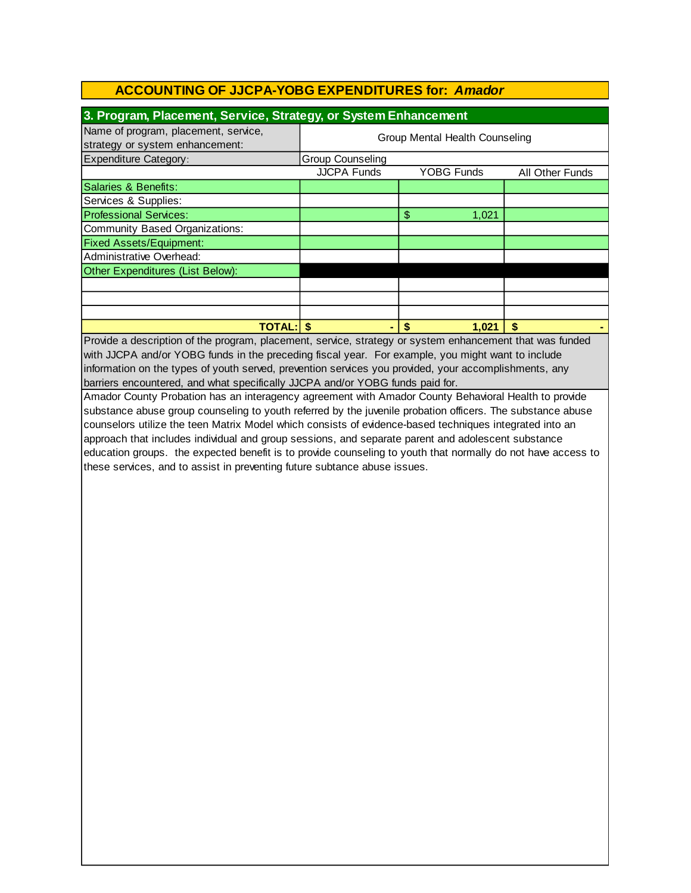| 3. Program, Placement, Service, Strategy, or System Enhancement         |                                |                   |                 |  |
|-------------------------------------------------------------------------|--------------------------------|-------------------|-----------------|--|
| Name of program, placement, service,<br>strategy or system enhancement: | Group Mental Health Counseling |                   |                 |  |
| <b>Expenditure Category:</b>                                            | Group Counseling               |                   |                 |  |
|                                                                         | <b>JJCPA Funds</b>             | <b>YOBG Funds</b> | All Other Funds |  |
| Salaries & Benefits:                                                    |                                |                   |                 |  |
| Services & Supplies:                                                    |                                |                   |                 |  |
| <b>Professional Services:</b>                                           |                                | \$<br>1,021       |                 |  |
| Community Based Organizations:                                          |                                |                   |                 |  |
| <b>Fixed Assets/Equipment:</b>                                          |                                |                   |                 |  |
| Administrative Overhead:                                                |                                |                   |                 |  |
| Other Expenditures (List Below):                                        |                                |                   |                 |  |
|                                                                         |                                |                   |                 |  |
|                                                                         |                                |                   |                 |  |
|                                                                         |                                |                   |                 |  |
| <b>TOTAL:IS</b>                                                         |                                | 1,021             |                 |  |

Provide a description of the program, placement, service, strategy or system enhancement that was funded with JJCPA and/or YOBG funds in the preceding fiscal year. For example, you might want to include barriers encountered, and what specifically JJCPA and/or YOBG funds paid for. information on the types of youth served, prevention services you provided, your accomplishments, any

Amador County Probation has an interagency agreement with Amador County Behavioral Health to provide substance abuse group counseling to youth referred by the juvenile probation officers. The substance abuse counselors utilize the teen Matrix Model which consists of evidence-based techniques integrated into an approach that includes individual and group sessions, and separate parent and adolescent substance education groups. the expected benefit is to provide counseling to youth that normally do not have access to these services, and to assist in preventing future subtance abuse issues.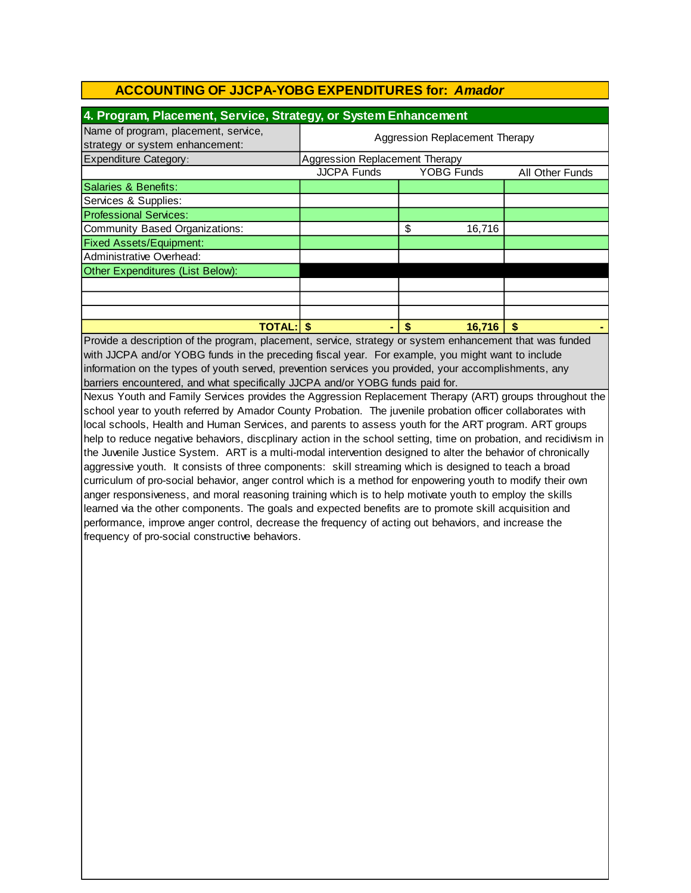| 4. Program, Placement, Service, Strategy, or System Enhancement         |                                |                   |                 |  |
|-------------------------------------------------------------------------|--------------------------------|-------------------|-----------------|--|
| Name of program, placement, service,<br>strategy or system enhancement: | Aggression Replacement Therapy |                   |                 |  |
| <b>Expenditure Category:</b>                                            | Aggression Replacement Therapy |                   |                 |  |
|                                                                         | <b>JJCPA Funds</b>             | <b>YOBG Funds</b> | All Other Funds |  |
| Salaries & Benefits:                                                    |                                |                   |                 |  |
| Services & Supplies:                                                    |                                |                   |                 |  |
| <b>Professional Services:</b>                                           |                                |                   |                 |  |
| Community Based Organizations:                                          |                                | \$<br>16,716      |                 |  |
| <b>Fixed Assets/Equipment:</b>                                          |                                |                   |                 |  |
| Administrative Overhead:                                                |                                |                   |                 |  |
| Other Expenditures (List Below):                                        |                                |                   |                 |  |
|                                                                         |                                |                   |                 |  |
|                                                                         |                                |                   |                 |  |
|                                                                         |                                |                   |                 |  |
| <b>TOTAL: S</b>                                                         |                                | 16.716<br>\$      | S               |  |

Provide a description of the program, placement, service, strategy or system enhancement that was funded with JJCPA and/or YOBG funds in the preceding fiscal year. For example, you might want to include information on the types of youth served, prevention services you provided, your accomplishments, any barriers encountered, and what specifically JJCPA and/or YOBG funds paid for.

Nexus Youth and Family Services provides the Aggression Replacement Therapy (ART) groups throughout the school year to youth referred by Amador County Probation. The juvenile probation officer collaborates with local schools, Health and Human Services, and parents to assess youth for the ART program. ART groups help to reduce negative behaviors, discplinary action in the school setting, time on probation, and recidivism in the Juvenile Justice System. ART is a multi-modal intervention designed to alter the behavior of chronically aggressive youth. It consists of three components: skill streaming which is designed to teach a broad curriculum of pro-social behavior, anger control which is a method for enpowering youth to modify their own anger responsiveness, and moral reasoning training which is to help motivate youth to employ the skills learned via the other components. The goals and expected benefits are to promote skill acquisition and performance, improve anger control, decrease the frequency of acting out behaviors, and increase the frequency of pro-social constructive behaviors.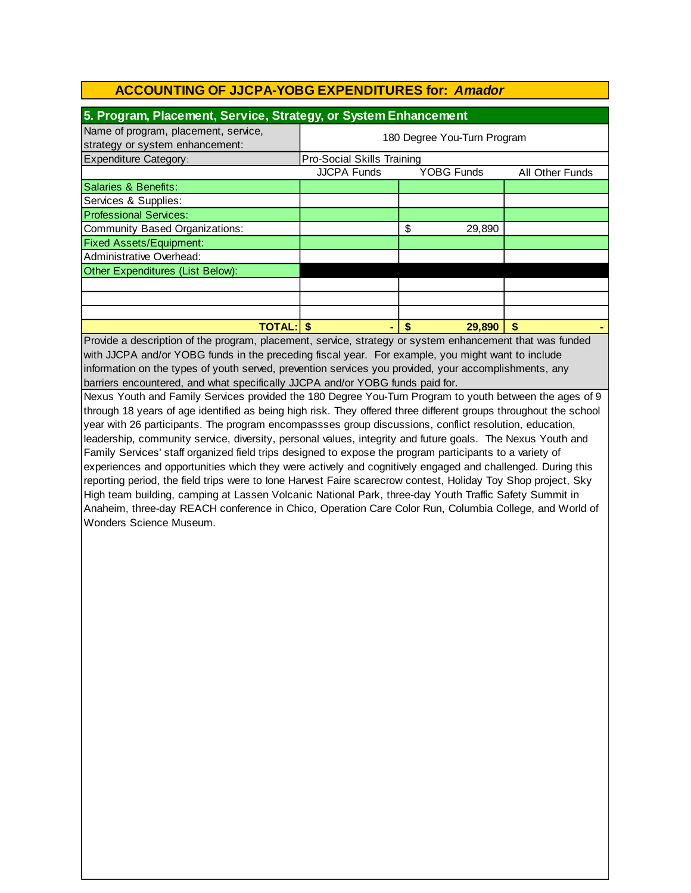| 5. Program, Placement, Service, Strategy, or System Enhancement         |                             |                   |                        |  |
|-------------------------------------------------------------------------|-----------------------------|-------------------|------------------------|--|
| Name of program, placement, service,<br>strategy or system enhancement: | 180 Degree You-Turn Program |                   |                        |  |
| Expenditure Category:                                                   | Pro-Social Skills Training  |                   |                        |  |
|                                                                         | <b>JJCPA Funds</b>          | <b>YOBG Funds</b> | <b>All Other Funds</b> |  |
| Salaries & Benefits:                                                    |                             |                   |                        |  |
| Services & Supplies:                                                    |                             |                   |                        |  |
| <b>Professional Services:</b>                                           |                             |                   |                        |  |
| Community Based Organizations:                                          |                             | \$<br>29,890      |                        |  |
| <b>Fixed Assets/Equipment:</b>                                          |                             |                   |                        |  |
| Administrative Overhead:                                                |                             |                   |                        |  |
| Other Expenditures (List Below):                                        |                             |                   |                        |  |
|                                                                         |                             |                   |                        |  |
|                                                                         |                             |                   |                        |  |
|                                                                         |                             |                   |                        |  |
| <b>TOTAL:   \$</b>                                                      |                             | 29,890<br>S       | S                      |  |

with JJCPA and/or YOBG funds in the preceding fiscal year. For example, you might want to include information on the types of youth served, prevention services you provided, your accomplishments, any barriers encountered, and what specifically JJCPA and/or YOBG funds paid for. Provide a description of the program, placement, service, strategy or system enhancement that was funded

Nexus Youth and Family Services provided the 180 Degree You-Turn Program to youth between the ages of 9 through 18 years of age identified as being high risk. They offered three different groups throughout the school year with 26 participants. The program encompassses group discussions, conflict resolution, education, leadership, community service, diversity, personal values, integrity and future goals. The Nexus Youth and Family Services' staff organized field trips designed to expose the program participants to a variety of experiences and opportunities which they were actively and cognitively engaged and challenged. During this reporting period, the field trips were to Ione Harvest Faire scarecrow contest, Holiday Toy Shop project, Sky High team building, camping at Lassen Volcanic National Park, three-day Youth Traffic Safety Summit in Anaheim, three-day REACH conference in Chico, Operation Care Color Run, Columbia College, and World of Wonders Science Museum.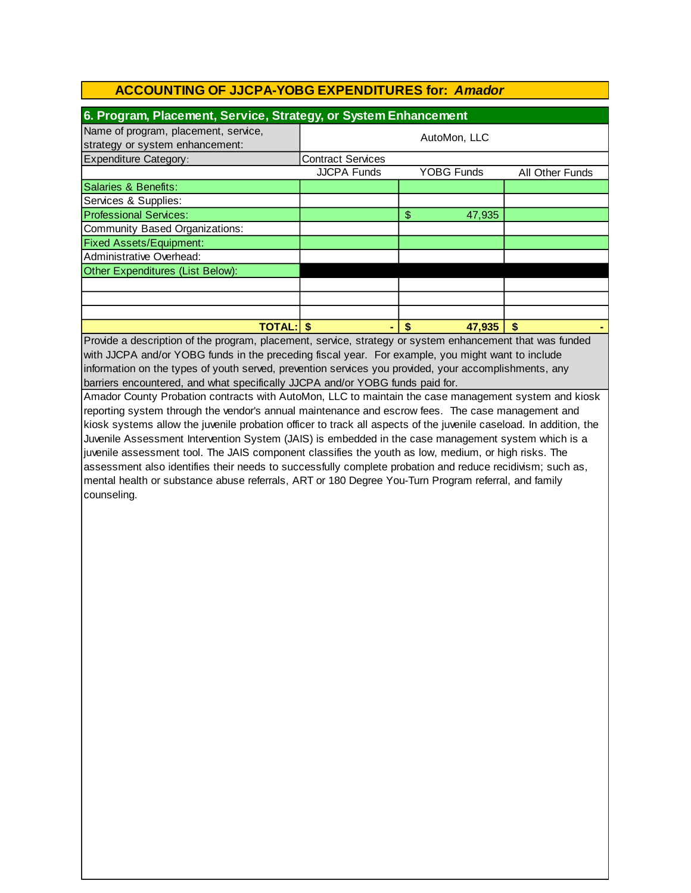| 6. Program, Placement, Service, Strategy, or System Enhancement         |                          |                   |                 |  |
|-------------------------------------------------------------------------|--------------------------|-------------------|-----------------|--|
| Name of program, placement, service,<br>strategy or system enhancement: |                          | AutoMon, LLC      |                 |  |
| <b>Expenditure Category:</b>                                            | <b>Contract Services</b> |                   |                 |  |
|                                                                         | <b>JJCPA Funds</b>       | <b>YOBG Funds</b> | All Other Funds |  |
| Salaries & Benefits:                                                    |                          |                   |                 |  |
| Services & Supplies:                                                    |                          |                   |                 |  |
| <b>Professional Services:</b>                                           |                          | \$<br>47,935      |                 |  |
| Community Based Organizations:                                          |                          |                   |                 |  |
| <b>Fixed Assets/Equipment:</b>                                          |                          |                   |                 |  |
| Administrative Overhead:                                                |                          |                   |                 |  |
| Other Expenditures (List Below):                                        |                          |                   |                 |  |
|                                                                         |                          |                   |                 |  |
|                                                                         |                          |                   |                 |  |
|                                                                         |                          |                   |                 |  |
| <b>TOTAL:IS</b>                                                         |                          | \$<br>47,935      |                 |  |

Provide a description of the program, placement, service, strategy or system enhancement that was funded with JJCPA and/or YOBG funds in the preceding fiscal year. For example, you might want to include information on the types of youth served, prevention services you provided, your accomplishments, any barriers encountered, and what specifically JJCPA and/or YOBG funds paid for.

Amador County Probation contracts with AutoMon, LLC to maintain the case management system and kiosk reporting system through the vendor's annual maintenance and escrow fees. The case management and kiosk systems allow the juvenile probation officer to track all aspects of the juvenile caseload. In addition, the Juvenile Assessment Intervention System (JAIS) is embedded in the case management system which is a juvenile assessment tool. The JAIS component classifies the youth as low, medium, or high risks. The assessment also identifies their needs to successfully complete probation and reduce recidivism; such as, mental health or substance abuse referrals, ART or 180 Degree You-Turn Program referral, and family counseling.